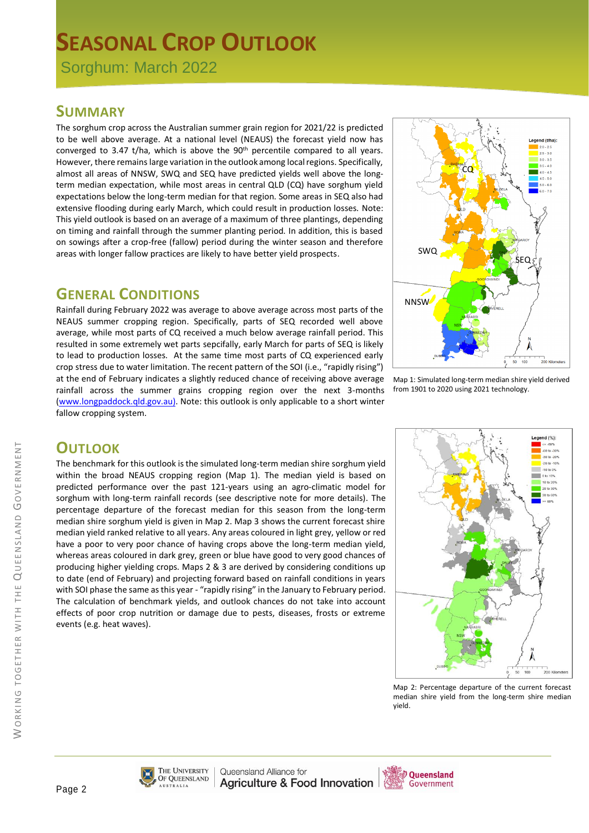# **SEASONAL CROP OUTLOOK**

Sorghum: March 2022

#### **SUMMARY**

The sorghum crop across the Australian summer grain region for 2021/22 is predicted to be well above average. At a national level (NEAUS) the forecast yield now has converged to 3.47 t/ha, which is above the  $90<sup>th</sup>$  percentile compared to all years. However, there remains large variation in the outlook among local regions. Specifically, almost all areas of NNSW, SWQ and SEQ have predicted yields well above the longterm median expectation, while most areas in central QLD (CQ) have sorghum yield expectations below the long-term median for that region. Some areas in SEQ also had extensive flooding during early March, which could result in production losses. Note: This yield outlook is based on an average of a maximum of three plantings, depending on timing and rainfall through the summer planting period. In addition, this is based on sowings after a crop-free (fallow) period during the winter season and therefore areas with longer fallow practices are likely to have better yield prospects.

### **GENERAL CONDITIONS**

Rainfall during February 2022 was average to above average across most parts of the NEAUS summer cropping region. Specifically, parts of SEQ recorded well above average, while most parts of CQ received a much below average rainfall period. This resulted in some extremely wet parts sepcifally, early March for parts of SEQ is likely to lead to production losses. At the same time most parts of CQ experienced early crop stress due to water limitation. The recent pattern of the SOI (i.e., "rapidly rising") at the end of February indicates a slightly reduced chance of receiving above average rainfall across the summer grains cropping region over the next 3-months [\(www.longpaddock.qld.gov.au\)](http://www.longpaddock.qld.gov.au/). Note: this outlook is only applicable to a short winter fallow cropping system.



Map 1: Simulated long-term median shire yield derived from 1901 to 2020 using 2021 technology.

## **OUTLOOK**

The benchmark for this outlook is the simulated long-term median shire sorghum yield within the broad NEAUS cropping region (Map 1). The median yield is based on predicted performance over the past 121-years using an agro-climatic model for sorghum with long-term rainfall records (see descriptive note for more details). The percentage departure of the forecast median for this season from the long-term median shire sorghum yield is given in Map 2. Map 3 shows the current forecast shire median yield ranked relative to all years. Any areas coloured in light grey, yellow or red have a poor to very poor chance of having crops above the long-term median yield, whereas areas coloured in dark grey, green or blue have good to very good chances of producing higher yielding crops. Maps 2 & 3 are derived by considering conditions up to date (end of February) and projecting forward based on rainfall conditions in years with SOI phase the same as this year - "rapidly rising" in the January to February period. The calculation of benchmark yields, and outlook chances do not take into account effects of poor crop nutrition or damage due to pests, diseases, frosts or extreme events (e.g. heat waves).



Map 2: Percentage departure of the current forecast median shire yield from the long-term shire median yield.